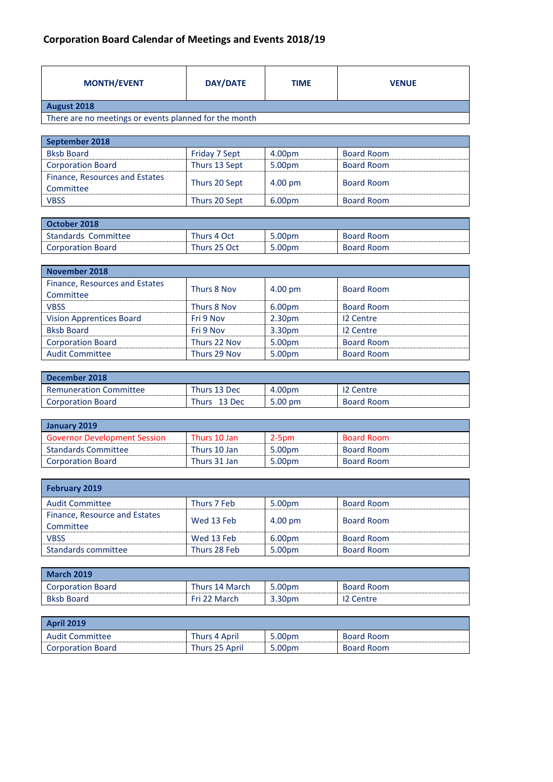## **Corporation Board Calendar of Meetings and Events 2018/19**

| <b>MONTH/EVENT</b>                                    | <b>DAY/DATE</b> | <b>TIME</b> | <b>VENUE</b> |  |  |
|-------------------------------------------------------|-----------------|-------------|--------------|--|--|
| August 2018                                           |                 |             |              |  |  |
| There are no meetings or events planned for the month |                 |             |              |  |  |

| September 2018                 |               |         |                   |
|--------------------------------|---------------|---------|-------------------|
| <b>Bksb Board</b>              | Friday 7 Sept | 4.00pm  | <b>Board Room</b> |
| <b>Corporation Board</b>       | Thurs 13 Sept | 5.00pm  | <b>Board Room</b> |
| Finance, Resources and Estates | Thurs 20 Sept | 4.00 pm | <b>Board Room</b> |
| Committee                      |               |         |                   |
| <b>VBSS</b>                    | Thurs 20 Sept | 6.00pm  | <b>Board Room</b> |

| October 2018             |              |        |                   |
|--------------------------|--------------|--------|-------------------|
| Standards Committee      | Thurs 4 Oct  | 5.00pm | <b>Board Room</b> |
| <b>Corporation Board</b> | Thurs 25 Oct | 5.00pm | <b>Board Room</b> |

| <b>November 2018</b>            |              |                    |                   |  |  |
|---------------------------------|--------------|--------------------|-------------------|--|--|
| Finance, Resources and Estates  | Thurs 8 Nov  |                    | <b>Board Room</b> |  |  |
| Committee                       |              | 4.00 pm            |                   |  |  |
| <b>VBSS</b>                     | Thurs 8 Nov  | 6.00pm             | <b>Board Room</b> |  |  |
| <b>Vision Apprentices Board</b> | Fri 9 Nov    | 2.30 <sub>pm</sub> | 12 Centre         |  |  |
| <b>Bksb Board</b>               | Fri 9 Nov    | 3.30pm             | 12 Centre         |  |  |
| <b>Corporation Board</b>        | Thurs 22 Nov | 5.00pm             | <b>Board Room</b> |  |  |
| <b>Audit Committee</b>          | Thurs 29 Nov | 5.00pm             | <b>Board Room</b> |  |  |

| December 2018                 |                 |         |                   |
|-------------------------------|-----------------|---------|-------------------|
| <b>Remuneration Committee</b> | Thurs 13 Dec    | 4.00pm  | Centre            |
| <b>Corporation Board</b>      | Thurs<br>13 Dec | 5.00 pm | <b>Board Room</b> |

| <b>LJanuary 2019</b>                |              |        |                   |  |  |
|-------------------------------------|--------------|--------|-------------------|--|--|
| <b>Governor Development Session</b> | Thurs 10 Jan | 2-5pm  | <b>Board Room</b> |  |  |
| <b>Standards Committee</b>          | Thurs 10 Jan | 5.00pm | Board Room        |  |  |
| <b>Corporation Board</b>            | Thurs 31 Jan | 5.00pm | Board Room        |  |  |

<u> 1989 - Johann Stoff, amerikansk politiker (d. 1989)</u>

| <b>February 2019</b>                       |              |                   |                   |
|--------------------------------------------|--------------|-------------------|-------------------|
| <b>Audit Committee</b>                     | Thurs 7 Feb  | 5.00pm            | <b>Board Room</b> |
| Finance, Resource and Estates<br>Committee | Wed 13 Feb   | $4.00 \text{ pm}$ | <b>Board Room</b> |
| <b>VBSS</b>                                | Wed 13 Feb   | 6.00pm            | <b>Board Room</b> |
| Standards committee                        | Thurs 28 Feb | 5.00pm            | <b>Board Room</b> |

| <b>March 2019</b>        |                |        |                   |
|--------------------------|----------------|--------|-------------------|
| <b>Corporation Board</b> | Thurs 14 March | 5.00pm | <b>Board Room</b> |
| <b>Bksb Board</b>        | Fri 22 March   | 3.30pm | 12 Centre         |

| <b>April 2019</b>        |                |        |                   |
|--------------------------|----------------|--------|-------------------|
| <b>Audit Committee</b>   | Thurs 4 April  | 5.00pm | <b>Board Room</b> |
| <b>Corporation Board</b> | Thurs 25 April | 5.00pm | <b>Board Room</b> |